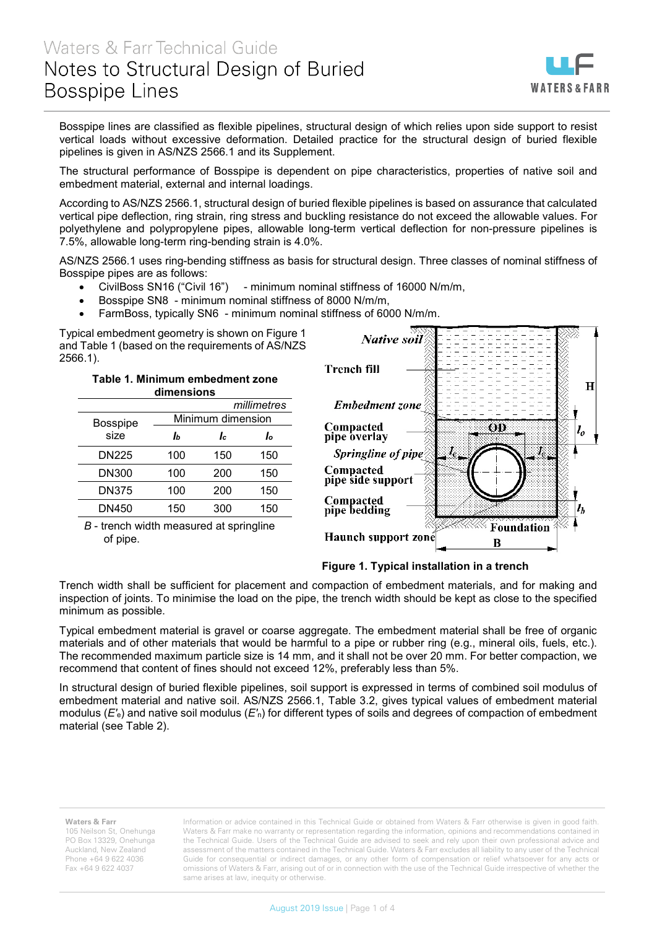

Bosspipe lines are classified as flexible pipelines, structural design of which relies upon side support to resist vertical loads without excessive deformation. Detailed practice for the structural design of buried flexible pipelines is given in AS/NZS 2566.1 and its Supplement.

The structural performance of Bosspipe is dependent on pipe characteristics, properties of native soil and embedment material, external and internal loadings.

According to AS/NZS 2566.1, structural design of buried flexible pipelines is based on assurance that calculated vertical pipe deflection, ring strain, ring stress and buckling resistance do not exceed the allowable values. For polyethylene and polypropylene pipes, allowable long-term vertical deflection for non-pressure pipelines is 7.5%, allowable long-term ring-bending strain is 4.0%.

AS/NZS 2566.1 uses ring-bending stiffness as basis for structural design. Three classes of nominal stiffness of Bosspipe pipes are as follows:

- CivilBoss SN16 ("Civil 16") minimum nominal stiffness of 16000 N/m/m,
- Bosspipe SN8 minimum nominal stiffness of 8000 N/m/m,
- FarmBoss, typically SN6 minimum nominal stiffness of 6000 N/m/m.

Typical embedment geometry is shown on Figure 1 and Table 1 (based on the requirements of AS/NZS 2566.1).

> **Table 1. Minimum embedment zone dimensions**

|                         |                   |     | millimetres |  |  |  |  |
|-------------------------|-------------------|-----|-------------|--|--|--|--|
| <b>Bosspipe</b><br>size | Minimum dimension |     |             |  |  |  |  |
|                         | Iь                | Iс  | Ιo          |  |  |  |  |
| <b>DN225</b>            | 100               | 150 | 150         |  |  |  |  |
| <b>DN300</b>            | 100               | 200 | 150         |  |  |  |  |
| <b>DN375</b>            | 100               | 200 | 150         |  |  |  |  |
| DN450                   | 150               | 300 | 150         |  |  |  |  |



*B* - trench width measured at springline of pipe.



Trench width shall be sufficient for placement and compaction of embedment materials, and for making and inspection of joints. To minimise the load on the pipe, the trench width should be kept as close to the specified minimum as possible.

Typical embedment material is gravel or coarse aggregate. The embedment material shall be free of organic materials and of other materials that would be harmful to a pipe or rubber ring (e.g., mineral oils, fuels, etc.). The recommended maximum particle size is 14 mm, and it shall not be over 20 mm. For better compaction, we recommend that content of fines should not exceed 12%, preferably less than 5%.

In structural design of buried flexible pipelines, soil support is expressed in terms of combined soil modulus of embedment material and native soil. AS/NZS 2566.1, Table 3.2, gives typical values of embedment material modulus (*E'*e) and native soil modulus (*E'*n) for different types of soils and degrees of compaction of embedment material (see Table 2).

## **Waters & Farr**

105 Neilson St, Onehunga PO Box 13329, Onehunga Auckland, New Zealand Phone +64 9 622 4036 Fax +64 9 622 4037

Information or advice contained in this Technical Guide or obtained from Waters & Farr otherwise is given in good faith. Waters & Farr make no warranty or representation regarding the information, opinions and recommendations contained in the Technical Guide. Users of the Technical Guide are advised to seek and rely upon their own professional advice and assessment of the matters contained in the Technical Guide. Waters & Farr excludes all liability to any user of the Technical Guide for consequential or indirect damages, or any other form of compensation or relief whatsoever for any acts or omissions of Waters & Farr, arising out of or in connection with the use of the Technical Guide irrespective of whether the same arises at law, inequity or otherwise.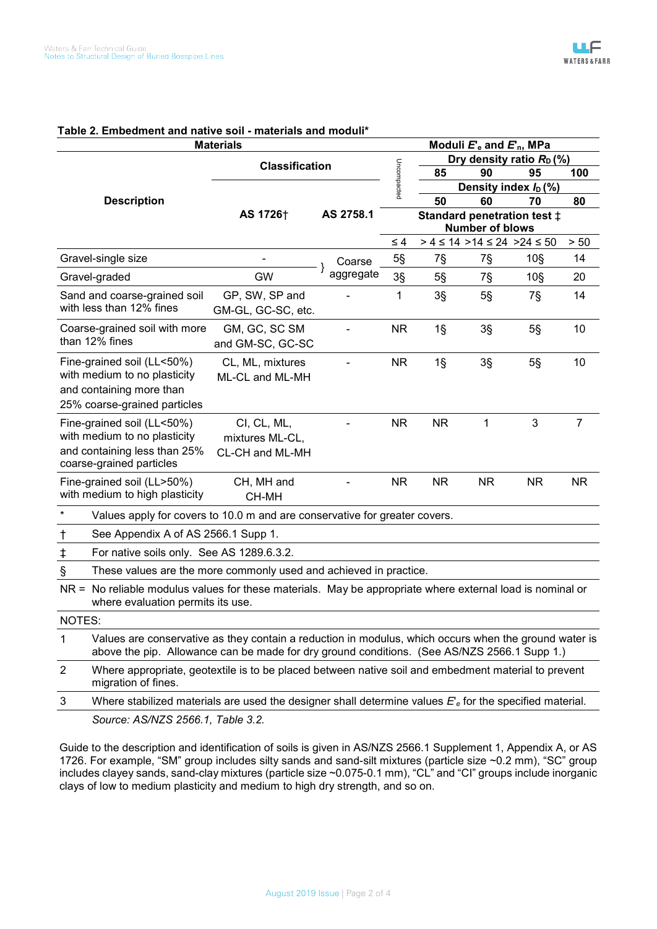| Table 2. Embedment and native soil - materials and moduli<br><b>Materials</b><br>Moduli $E_e$ and $E_n$ , MPa                                                                                             |                                                                                                          |           |             |                                                       |                                          |                 |                |  |
|-----------------------------------------------------------------------------------------------------------------------------------------------------------------------------------------------------------|----------------------------------------------------------------------------------------------------------|-----------|-------------|-------------------------------------------------------|------------------------------------------|-----------------|----------------|--|
|                                                                                                                                                                                                           |                                                                                                          |           |             |                                                       | Dry density ratio $R_D$ (%)              |                 |                |  |
|                                                                                                                                                                                                           | <b>Classification</b>                                                                                    |           |             | 85                                                    | 90                                       | 95              | 100            |  |
|                                                                                                                                                                                                           |                                                                                                          | AS 2758.1 | Uncompacted | Density index $I_D$ (%)                               |                                          |                 |                |  |
| <b>Description</b>                                                                                                                                                                                        | AS 1726 <sup>+</sup>                                                                                     |           |             | 50                                                    | 60                                       | 70              | 80             |  |
|                                                                                                                                                                                                           |                                                                                                          |           |             | Standard penetration test ±<br><b>Number of blows</b> |                                          |                 |                |  |
|                                                                                                                                                                                                           |                                                                                                          |           | $\leq 4$    |                                                       | $> 4 \le 14$ > 14 $\le 24$ > 24 $\le 50$ |                 | > 50           |  |
| Gravel-single size                                                                                                                                                                                        |                                                                                                          | Coarse    | $5\S$       | 7§                                                    | 7§                                       | 10 <sub>S</sub> | 14             |  |
| Gravel-graded                                                                                                                                                                                             | <b>GW</b>                                                                                                | aggregate | $3\S$       | $5\S$                                                 | 7§                                       | 10 <sub>S</sub> | 20             |  |
| Sand and coarse-grained soil<br>with less than 12% fines                                                                                                                                                  | GP, SW, SP and<br>GM-GL, GC-SC, etc.                                                                     |           | 1           | $3\S$                                                 | $5\S$                                    | 7§              | 14             |  |
| Coarse-grained soil with more<br>than 12% fines                                                                                                                                                           | GM, GC, SC SM<br>and GM-SC, GC-SC                                                                        |           | <b>NR</b>   | $1\$                                                  | $3\S$                                    | $5\S$           | 10             |  |
| Fine-grained soil (LL<50%)<br>with medium to no plasticity<br>and containing more than<br>25% coarse-grained particles                                                                                    | CL, ML, mixtures<br>ML-CL and ML-MH                                                                      |           | <b>NR</b>   | $1\overline{\S}$                                      | $3\S$                                    | $5\S$           | 10             |  |
| Fine-grained soil (LL<50%)<br>with medium to no plasticity<br>and containing less than 25%<br>coarse-grained particles                                                                                    | CI, CL, ML,<br>mixtures ML-CL,<br>CL-CH and ML-MH                                                        |           | <b>NR</b>   | <b>NR</b>                                             | $\mathbf{1}$                             | 3               | $\overline{7}$ |  |
| Fine-grained soil (LL>50%)<br>with medium to high plasticity                                                                                                                                              | CH, MH and<br>CH-MH                                                                                      |           | <b>NR</b>   | <b>NR</b>                                             | <b>NR</b>                                | <b>NR</b>       | <b>NR</b>      |  |
| $\star$<br>Values apply for covers to 10.0 m and are conservative for greater covers.                                                                                                                     |                                                                                                          |           |             |                                                       |                                          |                 |                |  |
| See Appendix A of AS 2566.1 Supp 1.<br>t                                                                                                                                                                  |                                                                                                          |           |             |                                                       |                                          |                 |                |  |
| $\ddagger$<br>For native soils only. See AS 1289.6.3.2.                                                                                                                                                   |                                                                                                          |           |             |                                                       |                                          |                 |                |  |
| $\mathsf{\$}$<br>These values are the more commonly used and achieved in practice.                                                                                                                        |                                                                                                          |           |             |                                                       |                                          |                 |                |  |
| No reliable modulus values for these materials. May be appropriate where external load is nominal or<br>$NR =$<br>where evaluation permits its use.                                                       |                                                                                                          |           |             |                                                       |                                          |                 |                |  |
| NOTES:                                                                                                                                                                                                    |                                                                                                          |           |             |                                                       |                                          |                 |                |  |
| 1<br>Values are conservative as they contain a reduction in modulus, which occurs when the ground water is<br>above the pip. Allowance can be made for dry ground conditions. (See AS/NZS 2566.1 Supp 1.) |                                                                                                          |           |             |                                                       |                                          |                 |                |  |
| 2<br>Where appropriate, geotextile is to be placed between native soil and embedment material to prevent<br>migration of fines.                                                                           |                                                                                                          |           |             |                                                       |                                          |                 |                |  |
| 3                                                                                                                                                                                                         | Where stabilized materials are used the designer shall determine values $Ee$ for the specified material. |           |             |                                                       |                                          |                 |                |  |
| Source: AS/NZS 2566.1, Table 3.2.                                                                                                                                                                         |                                                                                                          |           |             |                                                       |                                          |                 |                |  |

## **Table 2. Embedment and native soil - materials and moduli\***

Guide to the description and identification of soils is given in AS/NZS 2566.1 Supplement 1, Appendix A, or AS 1726. For example, "SM" group includes silty sands and sand-silt mixtures (particle size ~0.2 mm), "SC" group includes clayey sands, sand-clay mixtures (particle size ~0.075-0.1 mm), "CL" and "CI" groups include inorganic clays of low to medium plasticity and medium to high dry strength, and so on.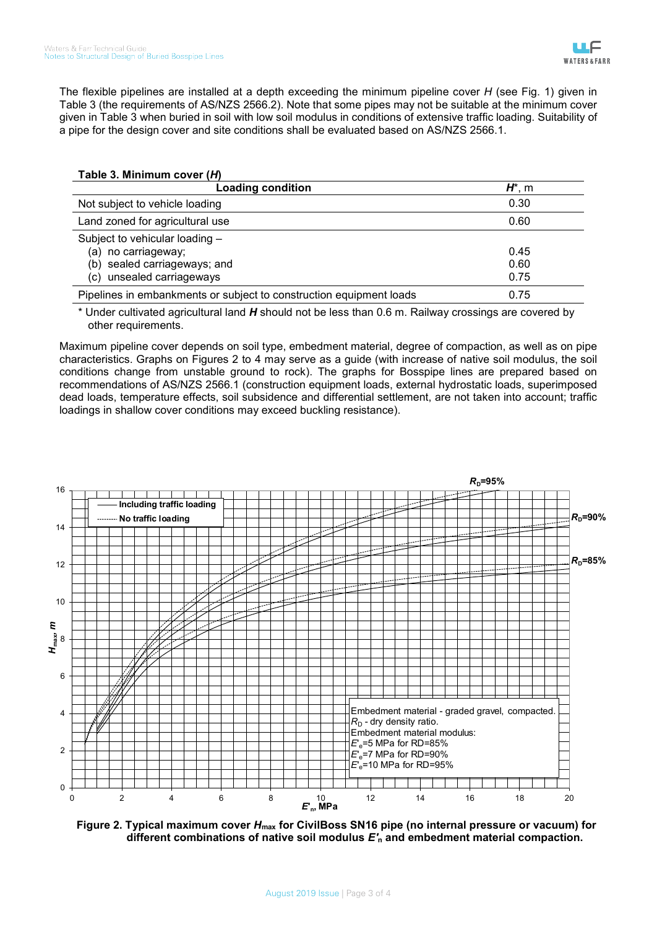The flexible pipelines are installed at a depth exceeding the minimum pipeline cover *H* (see Fig. 1) given in Table 3 (the requirements of AS/NZS 2566.2). Note that some pipes may not be suitable at the minimum cover given in Table 3 when buried in soil with low soil modulus in conditions of extensive traffic loading. Suitability of a pipe for the design cover and site conditions shall be evaluated based on AS/NZS 2566.1.

## **Table 3. Minimum cover (***H***)**

| <b>Loading condition</b>                                            | $H^*$ , m |
|---------------------------------------------------------------------|-----------|
| Not subject to vehicle loading                                      | 0.30      |
| Land zoned for agricultural use                                     | 0.60      |
| Subject to vehicular loading -                                      |           |
| (a) no carriageway;                                                 | 0.45      |
| (b) sealed carriageways; and                                        | 0.60      |
| (c) unsealed carriageways                                           | 0.75      |
| Pipelines in embankments or subject to construction equipment loads | 0.75      |

\* Under cultivated agricultural land *H* should not be less than 0.6 m. Railway crossings are covered by other requirements.

Maximum pipeline cover depends on soil type, embedment material, degree of compaction, as well as on pipe characteristics. Graphs on Figures 2 to 4 may serve as a guide (with increase of native soil modulus, the soil conditions change from unstable ground to rock). The graphs for Bosspipe lines are prepared based on recommendations of AS/NZS 2566.1 (construction equipment loads, external hydrostatic loads, superimposed dead loads, temperature effects, soil subsidence and differential settlement, are not taken into account; traffic loadings in shallow cover conditions may exceed buckling resistance).



**Figure 2. Typical maximum cover** *H***max for CivilBoss SN16 pipe (no internal pressure or vacuum) for different combinations of native soil modulus** *E'***<sup>n</sup> and embedment material compaction.**